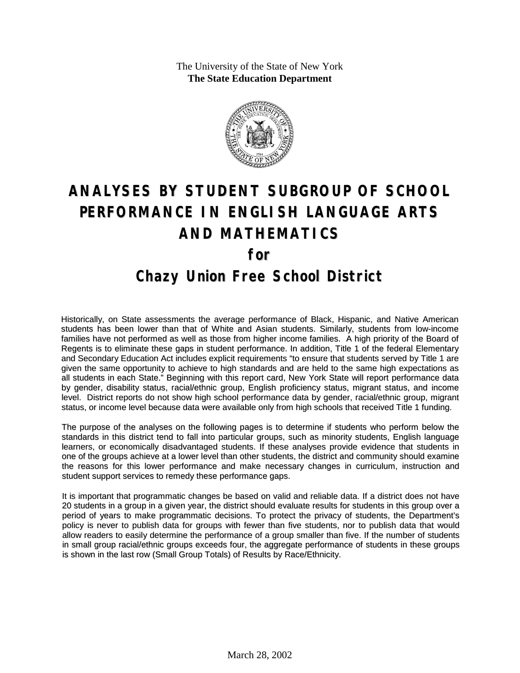The University of the State of New York **The State Education Department**



# **ANALYSES BY STUDENT SUBGROUP OF SCHOOL PERFORMANCE IN ENGLISH LANGUAGE ARTS AND MATHEMATICS for Chazy Union Free School District**

Historically, on State assessments the average performance of Black, Hispanic, and Native American students has been lower than that of White and Asian students. Similarly, students from low-income families have not performed as well as those from higher income families. A high priority of the Board of Regents is to eliminate these gaps in student performance. In addition, Title 1 of the federal Elementary and Secondary Education Act includes explicit requirements "to ensure that students served by Title 1 are given the same opportunity to achieve to high standards and are held to the same high expectations as all students in each State." Beginning with this report card, New York State will report performance data by gender, disability status, racial/ethnic group, English proficiency status, migrant status, and income level. District reports do not show high school performance data by gender, racial/ethnic group, migrant status, or income level because data were available only from high schools that received Title 1 funding.

The purpose of the analyses on the following pages is to determine if students who perform below the standards in this district tend to fall into particular groups, such as minority students, English language learners, or economically disadvantaged students. If these analyses provide evidence that students in one of the groups achieve at a lower level than other students, the district and community should examine the reasons for this lower performance and make necessary changes in curriculum, instruction and student support services to remedy these performance gaps.

It is important that programmatic changes be based on valid and reliable data. If a district does not have 20 students in a group in a given year, the district should evaluate results for students in this group over a period of years to make programmatic decisions. To protect the privacy of students, the Department's policy is never to publish data for groups with fewer than five students, nor to publish data that would allow readers to easily determine the performance of a group smaller than five. If the number of students in small group racial/ethnic groups exceeds four, the aggregate performance of students in these groups is shown in the last row (Small Group Totals) of Results by Race/Ethnicity.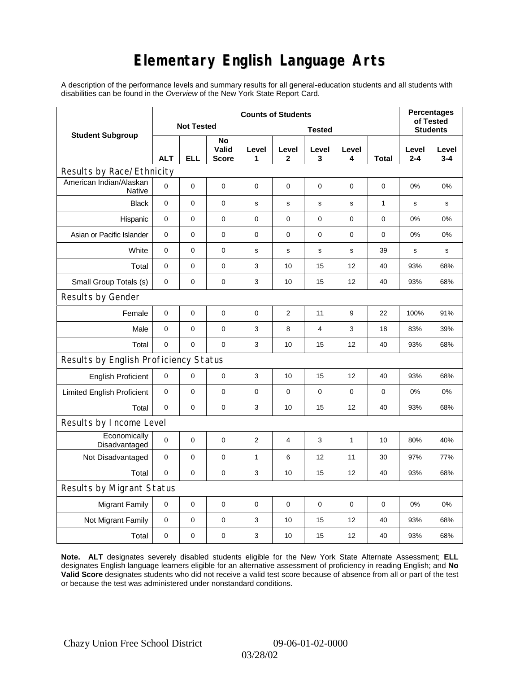# **Elementary English Language Arts**

A description of the performance levels and summary results for all general-education students and all students with disabilities can be found in the *Overview* of the New York State Report Card.

|                                       |             | <b>Percentages</b><br>of Tested |                             |              |                |                  |             |              |                  |                  |
|---------------------------------------|-------------|---------------------------------|-----------------------------|--------------|----------------|------------------|-------------|--------------|------------------|------------------|
| <b>Student Subgroup</b>               |             | <b>Not Tested</b>               |                             |              |                | <b>Students</b>  |             |              |                  |                  |
|                                       | <b>ALT</b>  | <b>ELL</b>                      | No<br>Valid<br><b>Score</b> | Level<br>1   | Level<br>2     | Level<br>3       | Level<br>4  | Total        | Level<br>$2 - 4$ | Level<br>$3 - 4$ |
| Results by Race/Ethnicity             |             |                                 |                             |              |                |                  |             |              |                  |                  |
| American Indian/Alaskan<br>Native     | $\mathbf 0$ | 0                               | $\pmb{0}$                   | $\pmb{0}$    | 0              | 0                | 0           | 0            | 0%               | 0%               |
| <b>Black</b>                          | 0           | 0                               | 0                           | s            | $\mathbf s$    | $\mathbf s$      | $\mathbf s$ | $\mathbf{1}$ | s                | s                |
| Hispanic                              | 0           | 0                               | $\pmb{0}$                   | $\pmb{0}$    | 0              | $\pmb{0}$        | 0           | 0            | 0%               | 0%               |
| Asian or Pacific Islander             | 0           | 0                               | $\mathbf 0$                 | $\mathbf 0$  | 0              | 0                | 0           | 0            | 0%               | 0%               |
| White                                 | $\mathbf 0$ | 0                               | 0                           | s            | s              | ${\bf s}$        | $\mathbf s$ | 39           | $\mathbf s$      | s                |
| Total                                 | $\mathbf 0$ | 0                               | $\pmb{0}$                   | 3            | 10             | 15               | 12          | 40           | 93%              | 68%              |
| Small Group Totals (s)                | 0           | 0                               | 0                           | 3            | 10             | 15               | 12          | 40           | 93%              | 68%              |
| Results by Gender                     |             |                                 |                             |              |                |                  |             |              |                  |                  |
| Female                                | $\mathbf 0$ | $\mathsf 0$                     | $\pmb{0}$                   | $\pmb{0}$    | $\overline{2}$ | 11               | 9           | 22           | 100%             | 91%              |
| Male                                  | $\mathbf 0$ | 0                               | $\mathbf 0$                 | 3            | 8              | 4                | 3           | 18           | 83%              | 39%              |
| Total                                 | $\mathbf 0$ | 0                               | 0                           | 3            | 10             | 15               | 12          | 40           | 93%              | 68%              |
| Results by English Proficiency Status |             |                                 |                             |              |                |                  |             |              |                  |                  |
| <b>English Proficient</b>             | 0           | 0                               | $\pmb{0}$                   | 3            | 10             | 15               | 12          | 40           | 93%              | 68%              |
| <b>Limited English Proficient</b>     | $\mathbf 0$ | 0                               | $\pmb{0}$                   | $\pmb{0}$    | 0              | $\boldsymbol{0}$ | $\pmb{0}$   | 0            | 0%               | 0%               |
| Total                                 | $\mathbf 0$ | 0                               | 0                           | 3            | 10             | 15               | 12          | 40           | 93%              | 68%              |
| Results by Income Level               |             |                                 |                             |              |                |                  |             |              |                  |                  |
| Economically<br>Disadvantaged         | $\mathbf 0$ | 0                               | $\pmb{0}$                   | 2            | 4              | 3                | 1           | 10           | 80%              | 40%              |
| Not Disadvantaged                     | $\mathbf 0$ | 0                               | 0                           | $\mathbf{1}$ | 6              | 12               | 11          | 30           | 97%              | 77%              |
| Total                                 | $\mathbf 0$ | 0                               | $\pmb{0}$                   | 3            | 10             | 15               | 12          | 40           | 93%              | 68%              |
| Results by Migrant Status             |             |                                 |                             |              |                |                  |             |              |                  |                  |
| <b>Migrant Family</b>                 | 0           | 0                               | $\pmb{0}$                   | $\pmb{0}$    | 0              | $\mathbf 0$      | 0           | 0            | 0%               | 0%               |
| Not Migrant Family                    | $\pmb{0}$   | 0                               | $\pmb{0}$                   | 3            | 10             | 15               | 12          | 40           | 93%              | 68%              |
| Total                                 | 0           | 0                               | $\pmb{0}$                   | 3            | 10             | 15               | 12          | 40           | 93%              | 68%              |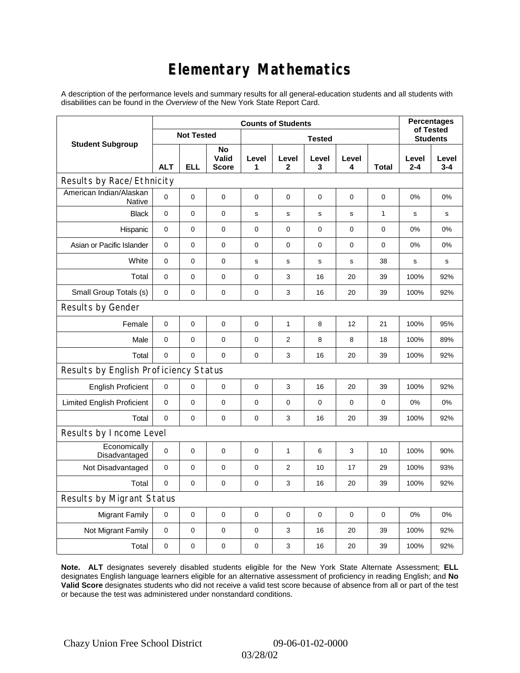# **Elementary Mathematics**

A description of the performance levels and summary results for all general-education students and all students with disabilities can be found in the *Overview* of the New York State Report Card.

|                                          | <b>Counts of Students</b> |                   |                             |               |                |            |             |              | <b>Percentages</b><br>of Tested |                  |
|------------------------------------------|---------------------------|-------------------|-----------------------------|---------------|----------------|------------|-------------|--------------|---------------------------------|------------------|
| <b>Student Subgroup</b>                  |                           | <b>Not Tested</b> |                             | <b>Tested</b> |                |            |             |              |                                 | <b>Students</b>  |
|                                          | <b>ALT</b>                | <b>ELL</b>        | No<br>Valid<br><b>Score</b> | Level<br>1    | Level<br>2     | Level<br>3 | Level<br>4  | <b>Total</b> | Level<br>$2 - 4$                | Level<br>$3 - 4$ |
| Results by Race/Ethnicity                |                           |                   |                             |               |                |            |             |              |                                 |                  |
| American Indian/Alaskan<br><b>Native</b> | 0                         | $\mathbf 0$       | $\mathbf 0$                 | 0             | 0              | 0          | 0           | 0            | 0%                              | 0%               |
| <b>Black</b>                             | 0                         | 0                 | $\pmb{0}$                   | $\mathbf s$   | $\mathbf s$    | ${\tt S}$  | s           | $\mathbf{1}$ | s                               | s                |
| Hispanic                                 | 0                         | 0                 | $\mathbf 0$                 | $\mathbf 0$   | $\mathbf 0$    | 0          | $\mathbf 0$ | 0            | 0%                              | 0%               |
| Asian or Pacific Islander                | $\mathbf 0$               | 0                 | $\mathbf 0$                 | $\pmb{0}$     | $\mathbf 0$    | 0          | 0           | $\mathbf 0$  | 0%                              | 0%               |
| White                                    | 0                         | 0                 | 0                           | $\mathbf s$   | ${\tt S}$      | s          | $\mathbf s$ | 38           | s                               | S                |
| Total                                    | 0                         | 0                 | $\pmb{0}$                   | 0             | 3              | 16         | 20          | 39           | 100%                            | 92%              |
| Small Group Totals (s)                   | $\mathbf 0$               | 0                 | $\mathbf 0$                 | $\pmb{0}$     | 3              | 16         | 20          | 39           | 100%                            | 92%              |
| Results by Gender                        |                           |                   |                             |               |                |            |             |              |                                 |                  |
| Female                                   | 0                         | $\mathsf 0$       | $\pmb{0}$                   | $\pmb{0}$     | 1              | 8          | 12          | 21           | 100%                            | 95%              |
| Male                                     | $\mathbf 0$               | 0                 | $\mathbf 0$                 | 0             | $\overline{2}$ | 8          | 8           | 18           | 100%                            | 89%              |
| Total                                    | 0                         | 0                 | $\mathbf 0$                 | 0             | 3              | 16         | 20          | 39           | 100%                            | 92%              |
| Results by English Proficiency Status    |                           |                   |                             |               |                |            |             |              |                                 |                  |
| <b>English Proficient</b>                | 0                         | 0                 | $\mathbf 0$                 | 0             | 3              | 16         | 20          | 39           | 100%                            | 92%              |
| <b>Limited English Proficient</b>        | 0                         | 0                 | $\mathbf 0$                 | $\pmb{0}$     | $\mathbf 0$    | 0          | 0           | 0            | 0%                              | 0%               |
| Total                                    | 0                         | 0                 | $\mathbf 0$                 | $\pmb{0}$     | 3              | 16         | 20          | 39           | 100%                            | 92%              |
| Results by Income Level                  |                           |                   |                             |               |                |            |             |              |                                 |                  |
| Economically<br>Disadvantaged            | 0                         | $\mathsf 0$       | $\mathbf 0$                 | $\mathbf 0$   | $\mathbf{1}$   | 6          | 3           | 10           | 100%                            | 90%              |
| Not Disadvantaged                        | $\mathbf 0$               | 0                 | $\mathbf 0$                 | $\mathbf 0$   | $\overline{2}$ | 10         | 17          | 29           | 100%                            | 93%              |
| Total                                    | $\mathbf 0$               | $\mathbf 0$       | 0                           | $\pmb{0}$     | 3              | 16         | 20          | 39           | 100%                            | 92%              |
| Results by Migrant Status                |                           |                   |                             |               |                |            |             |              |                                 |                  |
| <b>Migrant Family</b>                    | $\mathbf 0$               | 0                 | $\pmb{0}$                   | $\pmb{0}$     | $\mathbf 0$    | 0          | $\mathbf 0$ | $\mathbf 0$  | 0%                              | 0%               |
| Not Migrant Family                       | 0                         | 0                 | 0                           | 0             | 3              | 16         | 20          | 39           | 100%                            | 92%              |
| Total                                    | 0                         | 0                 | 0                           | 0             | 3              | 16         | 20          | 39           | 100%                            | 92%              |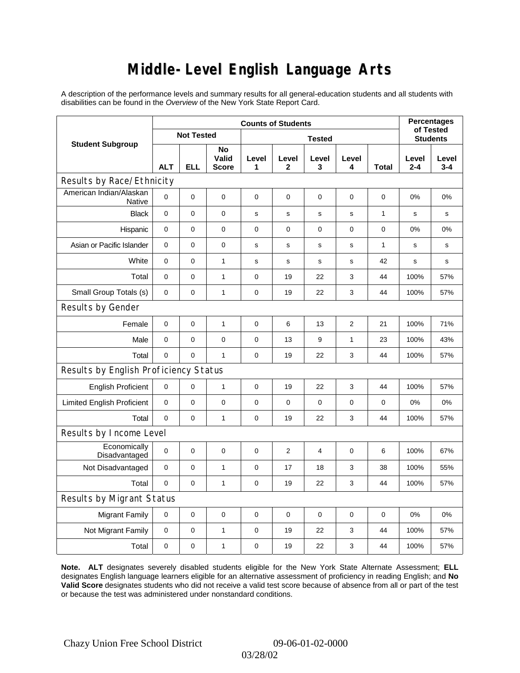### **Middle-Level English Language Arts**

A description of the performance levels and summary results for all general-education students and all students with disabilities can be found in the *Overview* of the New York State Report Card.

|                                          | <b>Counts of Students</b> |                   |                             |             |                |            |                 |              | <b>Percentages</b><br>of Tested |                  |
|------------------------------------------|---------------------------|-------------------|-----------------------------|-------------|----------------|------------|-----------------|--------------|---------------------------------|------------------|
| <b>Student Subgroup</b>                  |                           | <b>Not Tested</b> |                             |             |                |            | <b>Students</b> |              |                                 |                  |
|                                          | <b>ALT</b>                | <b>ELL</b>        | No<br>Valid<br><b>Score</b> | Level<br>1  | Level<br>2     | Level<br>3 | Level<br>4      | <b>Total</b> | Level<br>$2 - 4$                | Level<br>$3 - 4$ |
| Results by Race/Ethnicity                |                           |                   |                             |             |                |            |                 |              |                                 |                  |
| American Indian/Alaskan<br><b>Native</b> | 0                         | $\mathbf 0$       | $\mathbf 0$                 | 0           | 0              | 0          | 0               | 0            | 0%                              | 0%               |
| <b>Black</b>                             | 0                         | 0                 | $\pmb{0}$                   | $\mathbf s$ | $\mathbf s$    | s          | $\mathbf s$     | $\mathbf{1}$ | s                               | s                |
| Hispanic                                 | $\mathbf 0$               | 0                 | $\mathbf 0$                 | $\mathbf 0$ | $\mathbf 0$    | 0          | $\mathbf 0$     | 0            | 0%                              | 0%               |
| Asian or Pacific Islander                | $\mathbf 0$               | 0                 | $\mathbf 0$                 | s           | s              | s          | s               | $\mathbf{1}$ | s                               | s                |
| White                                    | 0                         | 0                 | $\mathbf{1}$                | $\mathbf s$ | s              | s          | s               | 42           | s                               | s                |
| Total                                    | 0                         | 0                 | $\mathbf{1}$                | 0           | 19             | 22         | 3               | 44           | 100%                            | 57%              |
| Small Group Totals (s)                   | $\mathbf 0$               | 0                 | $\mathbf{1}$                | $\pmb{0}$   | 19             | 22         | 3               | 44           | 100%                            | 57%              |
| Results by Gender                        |                           |                   |                             |             |                |            |                 |              |                                 |                  |
| Female                                   | 0                         | $\mathsf 0$       | $\mathbf{1}$                | $\pmb{0}$   | 6              | 13         | $\overline{c}$  | 21           | 100%                            | 71%              |
| Male                                     | $\mathbf 0$               | 0                 | $\mathbf 0$                 | 0           | 13             | 9          | 1               | 23           | 100%                            | 43%              |
| Total                                    | 0                         | 0                 | $\mathbf{1}$                | 0           | 19             | 22         | 3               | 44           | 100%                            | 57%              |
| Results by English Proficiency Status    |                           |                   |                             |             |                |            |                 |              |                                 |                  |
| <b>English Proficient</b>                | 0                         | 0                 | $\mathbf{1}$                | 0           | 19             | 22         | 3               | 44           | 100%                            | 57%              |
| <b>Limited English Proficient</b>        | 0                         | 0                 | $\mathbf 0$                 | $\pmb{0}$   | $\mathbf 0$    | 0          | 0               | 0            | 0%                              | 0%               |
| Total                                    | 0                         | 0                 | $\mathbf{1}$                | $\pmb{0}$   | 19             | 22         | 3               | 44           | 100%                            | 57%              |
| Results by Income Level                  |                           |                   |                             |             |                |            |                 |              |                                 |                  |
| Economically<br>Disadvantaged            | 0                         | $\mathsf 0$       | $\mathbf 0$                 | $\mathbf 0$ | $\overline{2}$ | 4          | $\mathbf 0$     | 6            | 100%                            | 67%              |
| Not Disadvantaged                        | $\mathbf 0$               | 0                 | $\mathbf{1}$                | $\mathbf 0$ | 17             | 18         | 3               | 38           | 100%                            | 55%              |
| Total                                    | $\mathbf 0$               | $\mathbf 0$       | $\mathbf{1}$                | $\pmb{0}$   | 19             | 22         | 3               | 44           | 100%                            | 57%              |
| Results by Migrant Status                |                           |                   |                             |             |                |            |                 |              |                                 |                  |
| <b>Migrant Family</b>                    | $\mathbf 0$               | 0                 | $\pmb{0}$                   | $\pmb{0}$   | $\mathbf 0$    | 0          | 0               | 0            | 0%                              | 0%               |
| Not Migrant Family                       | 0                         | 0                 | $\mathbf{1}$                | 0           | 19             | 22         | 3               | 44           | 100%                            | 57%              |
| Total                                    | 0                         | 0                 | $\mathbf{1}$                | 0           | 19             | 22         | 3               | 44           | 100%                            | 57%              |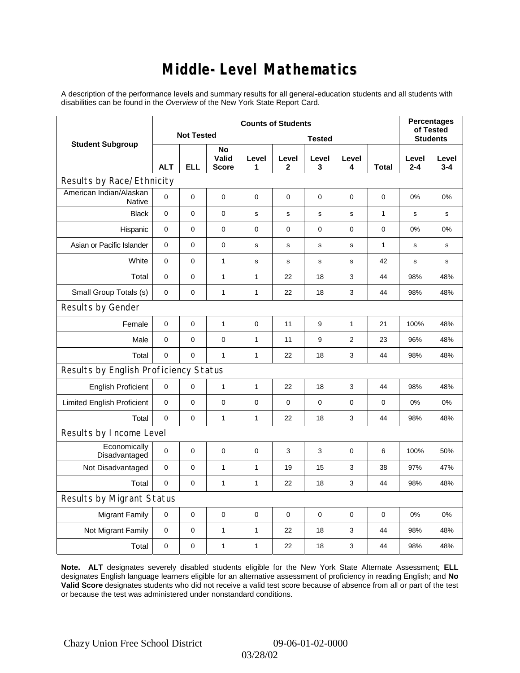### **Middle-Level Mathematics**

A description of the performance levels and summary results for all general-education students and all students with disabilities can be found in the *Overview* of the New York State Report Card.

|                                       |             |                   | <b>Percentages</b><br>of Tested |              |                       |                 |                |              |                  |                  |
|---------------------------------------|-------------|-------------------|---------------------------------|--------------|-----------------------|-----------------|----------------|--------------|------------------|------------------|
| <b>Student Subgroup</b>               |             | <b>Not Tested</b> |                                 |              |                       | <b>Students</b> |                |              |                  |                  |
|                                       | <b>ALT</b>  | <b>ELL</b>        | No<br>Valid<br><b>Score</b>     | Level<br>1   | Level<br>$\mathbf{2}$ | Level<br>3      | Level<br>4     | <b>Total</b> | Level<br>$2 - 4$ | Level<br>$3 - 4$ |
| Results by Race/Ethnicity             |             |                   |                                 |              |                       |                 |                |              |                  |                  |
| American Indian/Alaskan<br>Native     | $\mathbf 0$ | $\mathbf 0$       | $\mathbf 0$                     | $\mathbf 0$  | $\mathbf 0$           | 0               | 0              | 0            | 0%               | 0%               |
| <b>Black</b>                          | 0           | 0                 | $\pmb{0}$                       | $\mathbf s$  | $\mathbf s$           | s               | $\mathbf s$    | $\mathbf{1}$ | s                | s                |
| Hispanic                              | $\pmb{0}$   | $\pmb{0}$         | $\pmb{0}$                       | 0            | 0                     | 0               | 0              | 0            | 0%               | 0%               |
| Asian or Pacific Islander             | $\mathbf 0$ | 0                 | 0                               | s            | $\mathbf s$           | s               | s              | $\mathbf{1}$ | s                | $\mathbf s$      |
| White                                 | 0           | $\mathbf 0$       | $\mathbf{1}$                    | s            | $\mathbf s$           | $\mathbf s$     | $\mathbf s$    | 42           | s                | s                |
| Total                                 | $\pmb{0}$   | $\mathbf 0$       | 1                               | $\mathbf{1}$ | 22                    | 18              | 3              | 44           | 98%              | 48%              |
| Small Group Totals (s)                | $\mathbf 0$ | $\pmb{0}$         | 1                               | $\mathbf{1}$ | 22                    | 18              | 3              | 44           | 98%              | 48%              |
| Results by Gender                     |             |                   |                                 |              |                       |                 |                |              |                  |                  |
| Female                                | 0           | 0                 | $\mathbf{1}$                    | 0            | 11                    | 9               | $\mathbf{1}$   | 21           | 100%             | 48%              |
| Male                                  | 0           | 0                 | 0                               | $\mathbf{1}$ | 11                    | 9               | $\overline{2}$ | 23           | 96%              | 48%              |
| Total                                 | $\pmb{0}$   | $\mathbf 0$       | $\mathbf{1}$                    | $\mathbf{1}$ | 22                    | 18              | 3              | 44           | 98%              | 48%              |
| Results by English Proficiency Status |             |                   |                                 |              |                       |                 |                |              |                  |                  |
| <b>English Proficient</b>             | $\pmb{0}$   | $\pmb{0}$         | 1                               | $\mathbf{1}$ | 22                    | 18              | 3              | 44           | 98%              | 48%              |
| <b>Limited English Proficient</b>     | 0           | $\mathbf 0$       | $\mathbf 0$                     | 0            | $\mathbf 0$           | $\mathbf 0$     | 0              | $\mathbf 0$  | 0%               | 0%               |
| Total                                 | $\mathbf 0$ | $\mathbf 0$       | 1                               | 1            | 22                    | 18              | 3              | 44           | 98%              | 48%              |
| Results by Income Level               |             |                   |                                 |              |                       |                 |                |              |                  |                  |
| Economically<br>Disadvantaged         | $\pmb{0}$   | $\pmb{0}$         | $\mathbf 0$                     | 0            | 3                     | 3               | 0              | 6            | 100%             | 50%              |
| Not Disadvantaged                     | $\mathbf 0$ | $\mathbf 0$       | $\mathbf{1}$                    | $\mathbf{1}$ | 19                    | 15              | 3              | 38           | 97%              | 47%              |
| Total                                 | $\pmb{0}$   | $\mathbf 0$       | 1                               | 1            | 22                    | 18              | 3              | 44           | 98%              | 48%              |
| Results by Migrant Status             |             |                   |                                 |              |                       |                 |                |              |                  |                  |
| <b>Migrant Family</b>                 | $\pmb{0}$   | $\pmb{0}$         | $\mathbf 0$                     | $\mathbf 0$  | $\mathbf 0$           | $\mathbf 0$     | 0              | 0            | 0%               | 0%               |
| Not Migrant Family                    | 0           | 0                 | $\mathbf{1}$                    | $\mathbf{1}$ | 22                    | 18              | 3              | 44           | 98%              | 48%              |
| Total                                 | $\pmb{0}$   | 0                 | 1                               | 1            | 22                    | 18              | 3              | 44           | 98%              | 48%              |